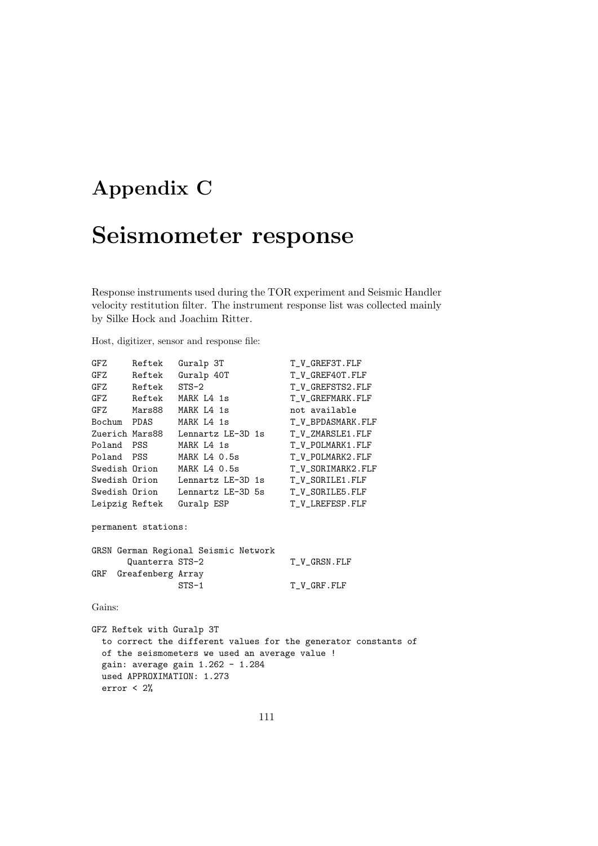## **Appendix C**

## **Seismometer response**

Response instruments used during the TOR experiment and Seismic Handler velocity restitution filter. The instrument response list was collected mainly by Silke Hock and Joachim Ritter.

Host, digitizer, sensor and response file:

| GFZ                                  | Reftek         | Guralp 3T                       | T_V_GREF3T.FLF    |
|--------------------------------------|----------------|---------------------------------|-------------------|
| GFZ                                  | Reftek         | Guralp 40T                      | T_V_GREF40T.FLF   |
|                                      | GFZ Reftek     | $STS-2$                         | T_V_GREFSTS2.FLF  |
|                                      | GFZ Reftek     | MARK L4 1s                      | T_V_GREFMARK.FLF  |
|                                      | GFZ Mars88     | MARK L4 1s                      | not available     |
|                                      | Bochum PDAS    | MARK L4 1s                      | T_V_BPDASMARK.FLF |
|                                      | Zuerich Mars88 | Lennartz LE-3D 1s               | T_V_ZMARSLE1.FLF  |
|                                      | Poland PSS     | MARK L4 1s                      | T_V_POLMARK1.FLF  |
|                                      | Poland PSS     | MARK L4 0.5s                    | T_V_POLMARK2.FLF  |
|                                      | Swedish Orion  | MARK L4 0.5s                    | T_V_SORIMARK2.FLF |
|                                      |                | Swedish Orion Lennartz LE-3D 1s | T_V_SORILE1.FLF   |
|                                      |                | Swedish Orion Lennartz LE-3D 5s | T_V_SORILE5.FLF   |
| Leipzig Reftek                       |                | Guralp ESP                      | T_V_LREFESP.FLF   |
| permanent stations:                  |                |                                 |                   |
| GRSN German Regional Seismic Network |                |                                 |                   |
| Quanterra STS-2<br>T_V_GRSN.FLF      |                |                                 |                   |
| Greafenberg Array<br>GRF             |                |                                 |                   |
|                                      |                | $STS-1$                         | T_V_GRF.FLF       |
|                                      |                |                                 |                   |
| Gains:                               |                |                                 |                   |

GFZ Reftek with Guralp 3T to correct the different values for the generator constants of of the seismometers we used an average value ! gain: average gain 1.262 - 1.284 used APPROXIMATION: 1.273 error < 2%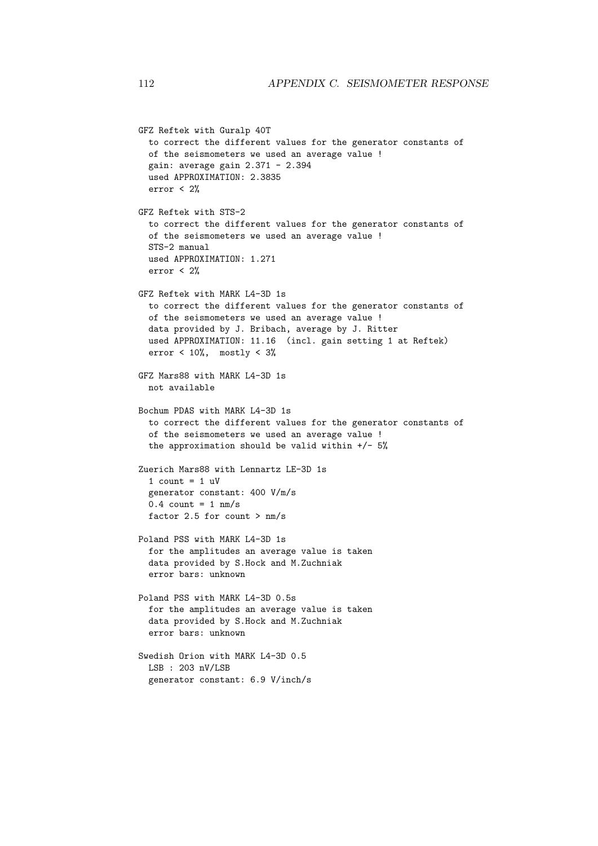```
GFZ Reftek with Guralp 40T
  to correct the different values for the generator constants of
  of the seismometers we used an average value !
  gain: average gain 2.371 - 2.394
  used APPROXIMATION: 2.3835
  error < 2%
GFZ Reftek with STS-2
  to correct the different values for the generator constants of
  of the seismometers we used an average value !
  STS-2 manual
  used APPROXIMATION: 1.271
  error < 2%
GFZ Reftek with MARK L4-3D 1s
  to correct the different values for the generator constants of
  of the seismometers we used an average value !
  data provided by J. Bribach, average by J. Ritter
  used APPROXIMATION: 11.16 (incl. gain setting 1 at Reftek)
  error < 10\%, mostly < 3\%GFZ Mars88 with MARK L4-3D 1s
 not available
Bochum PDAS with MARK L4-3D 1s
  to correct the different values for the generator constants of
  of the seismometers we used an average value !
  the approximation should be valid within +/- 5%Zuerich Mars88 with Lennartz LE-3D 1s
  1 count = 1 uV
  generator constant: 400 V/m/s
  0.4 count = 1 nm/s
  factor 2.5 for count > \text{nm/s}Poland PSS with MARK L4-3D 1s
  for the amplitudes an average value is taken
  data provided by S.Hock and M.Zuchniak
  error bars: unknown
Poland PSS with MARK L4-3D 0.5s
  for the amplitudes an average value is taken
  data provided by S.Hock and M.Zuchniak
  error bars: unknown
Swedish Orion with MARK L4-3D 0.5
 LSB : 203 nV/LSB
  generator constant: 6.9 V/inch/s
```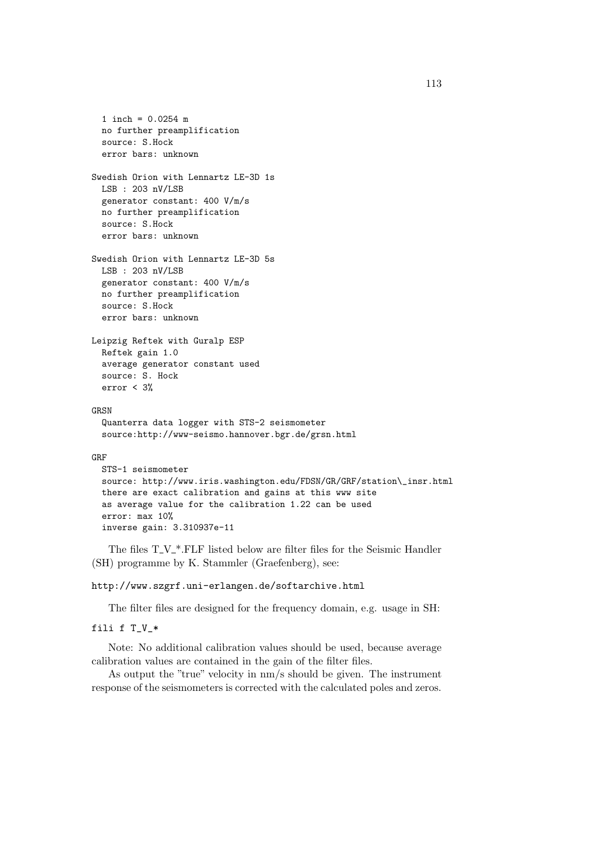```
1 inch = 0.0254 m
 no further preamplification
  source: S.Hock
  error bars: unknown
Swedish Orion with Lennartz LE-3D 1s
 LSB : 203 nV/LSB
 generator constant: 400 V/m/s
 no further preamplification
 source: S.Hock
  error bars: unknown
Swedish Orion with Lennartz LE-3D 5s
 LSB : 203 nV/LSB
 generator constant: 400 V/m/s
 no further preamplification
 source: S.Hock
  error bars: unknown
Leipzig Reftek with Guralp ESP
 Reftek gain 1.0
 average generator constant used
 source: S. Hock
 error < 3%
GRSN
  Quanterra data logger with STS-2 seismometer
  source:http://www-seismo.hannover.bgr.de/grsn.html
GRF
 STS-1 seismometer
 source: http://www.iris.washington.edu/FDSN/GR/GRF/station\_insr.html
 there are exact calibration and gains at this www site
  as average value for the calibration 1.22 can be used
  error: max 10%
  inverse gain: 3.310937e-11
```
The files  $T_{\mathcal{N}}^*$ . FLF listed below are filter files for the Seismic Handler (SH) programme by K. Stammler (Graefenberg), see:

## http://www.szgrf.uni-erlangen.de/softarchive.html

The filter files are designed for the frequency domain, e.g. usage in SH:

```
fili f T_V_*
```
Note: No additional calibration values should be used, because average calibration values are contained in the gain of the filter files.

As output the "true" velocity in nm/s should be given. The instrument response of the seismometers is corrected with the calculated poles and zeros.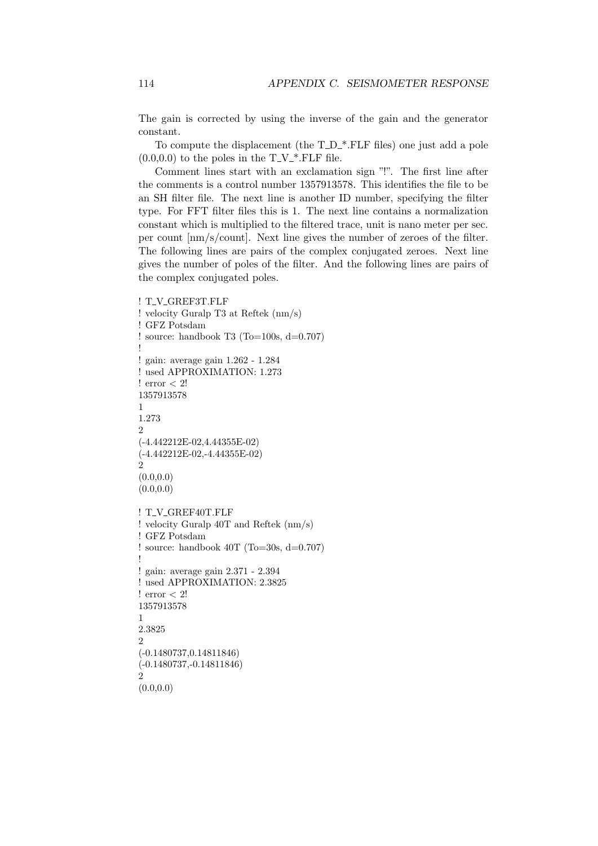The gain is corrected by using the inverse of the gain and the generator constant.

To compute the displacement (the  $T_{\text{D}^*}$ . FLF files) one just add a pole  $(0.0,0.0)$  to the poles in the  $T_{\mathcal{N}}^*$ . FLF file.

Comment lines start with an exclamation sign "!". The first line after the comments is a control number 1357913578. This identifies the file to be an SH filter file. The next line is another ID number, specifying the filter type. For FFT filter files this is 1. The next line contains a normalization constant which is multiplied to the filtered trace, unit is nano meter per sec. per count [nm/s/count]. Next line gives the number of zeroes of the filter. The following lines are pairs of the complex conjugated zeroes. Next line gives the number of poles of the filter. And the following lines are pairs of the complex conjugated poles.

```
! T_V_GREF3T.FLF
! velocity Guralp T3 at Reftek (nm/s)
! GFZ Potsdam
! source: handbook T3 (To=100s, d=0.707)
!
! gain: average gain 1.262 - 1.284
! used APPROXIMATION: 1.273
! error < 2!
1357913578
1
1.273
\Omega(-4.442212E-02,4.44355E-02)
(-4.442212E-02,-4.44355E-02)
\overline{2}(0.0, 0.0)(0.0, 0.0)! T_V_GREF40T.FLF
! velocity Guralp 40T and Reftek (nm/s)
! GFZ Potsdam
! source: handbook 40T (To=30s, d=0.707)
!
! gain: average gain 2.371 - 2.394
! used APPROXIMATION: 2.3825
! error < 2!
1357913578
1
2.3825
2
(-0.1480737,0.14811846)
(-0.1480737,-0.14811846)
2
(0.0.0.0)
```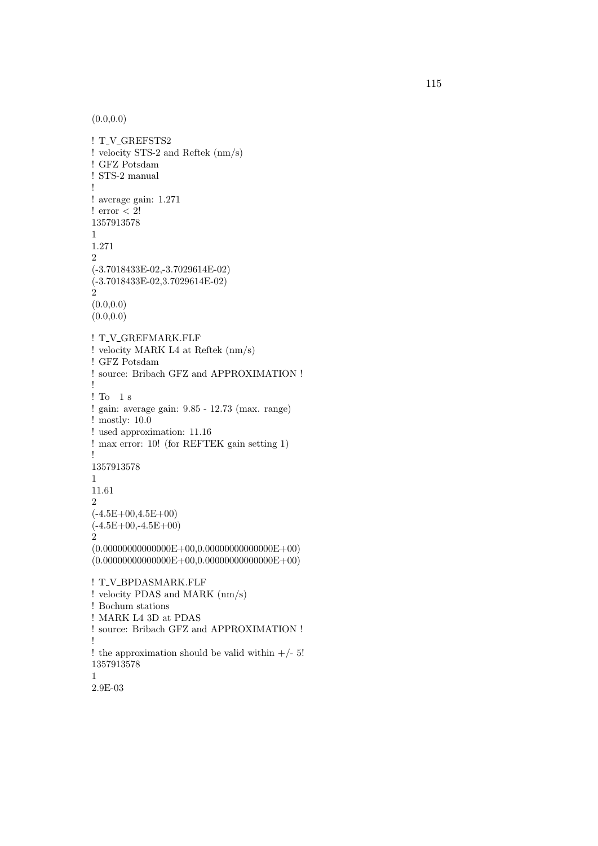$(0.0, 0.0)$ 

```
! T_V_GREFSTS2
! velocity STS-2 and Reftek (nm/s)
! GFZ Potsdam
! STS-2 manual
!
! average gain: 1.271
! error < 2!
1357913578
1
1.271
2
(-3.7018433E-02,-3.7029614E-02)
(-3.7018433E-02,3.7029614E-02)
2
(0.0.0.0)(0.0, 0.0)! T_V_GREFMARK.FLF
! velocity MARK L4 at Reftek (nm/s)
! GFZ Potsdam
! source: Bribach GFZ and APPROXIMATION !
!
! To 1 s
! gain: average gain: 9.85 - 12.73 (max. range)
! mostly: 10.0
! used approximation: 11.16
! max error: 10! (for REFTEK gain setting 1)
!
1357913578
1
11.61
2
(-4.5E+00.4.5E+00)(-4.5E+00,-4.5E+00)2
(0.00000000000000E+00,0.0000000000000E+00)(0.00000000000000E+00,0.000000000000E+00)! T_V_BPDASMARK.FLF
! velocity PDAS and MARK (nm/s)
! Bochum stations
! MARK L4 3D at PDAS
! source: Bribach GFZ and APPROXIMATION !
!
! the approximation should be valid within +/- 5!1357913578
1
```

```
2.9E-03
```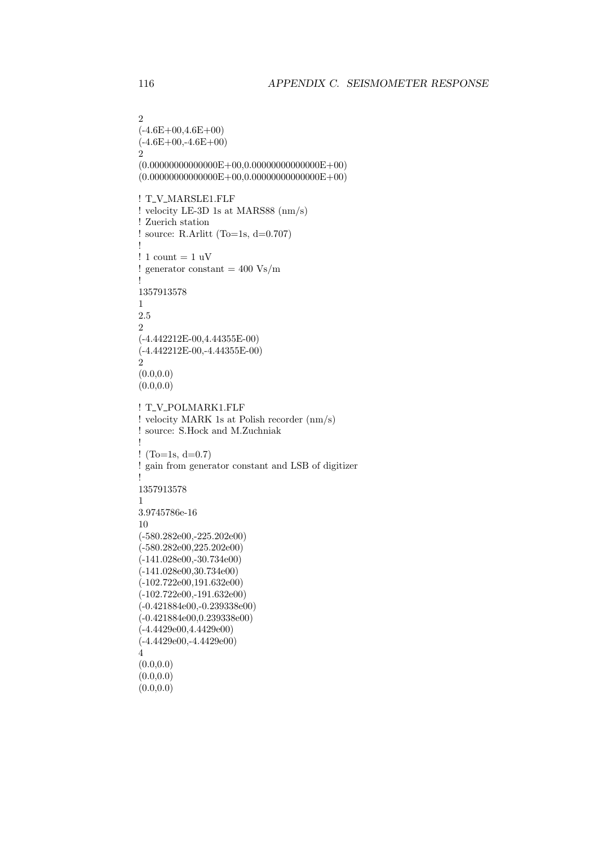```
2
(-4.6E+00.4.6E+00)(-4.6E+00,-4.6E+00)2
(0.00000000000000E+00,0.00000000000000E+00)
(0.00000000000000E+00,0.00000000000000E+00)
! T_V_MARSLE1.FLF
! velocity LE-3D 1s at MARS88 (nm/s)
! Zuerich station
! source: R.Arlitt (To=1s, d=0.707)!
! 1 count = 1 uV
! generator constant = 400 \text{ Vs/m}!
1357913578
1
2.5
2
(-4.442212E-00,4.44355E-00)
(-4.442212E-00,-4.44355E-00)
\dot{2}(0.0, 0.0)(0.0, 0.0)! T_V_POLMARK1.FLF
! velocity MARK 1s at Polish recorder (nm/s)
! source: S.Hock and M.Zuchniak
!
! (To=1s, d=0.7)
! gain from generator constant and LSB of digitizer
!
1357913578
1
3.9745786e-16
10
(-580.282e00,-225.202e00)
(-580.282e00,225.202e00)
(-141.028e00,-30.734e00)
(-141.028e00,30.734e00)
(-102.722e00,191.632e00)
(-102.722e00,-191.632e00)
(-0.421884e00,-0.239338e00)
(-0.421884e00,0.239338e00)
(-4.4429e00,4.4429e00)
(-4.4429e00,-4.4429e00)
4
(0.0, 0.0)(0.0, 0.0)
```

```
(0.0, 0.0)
```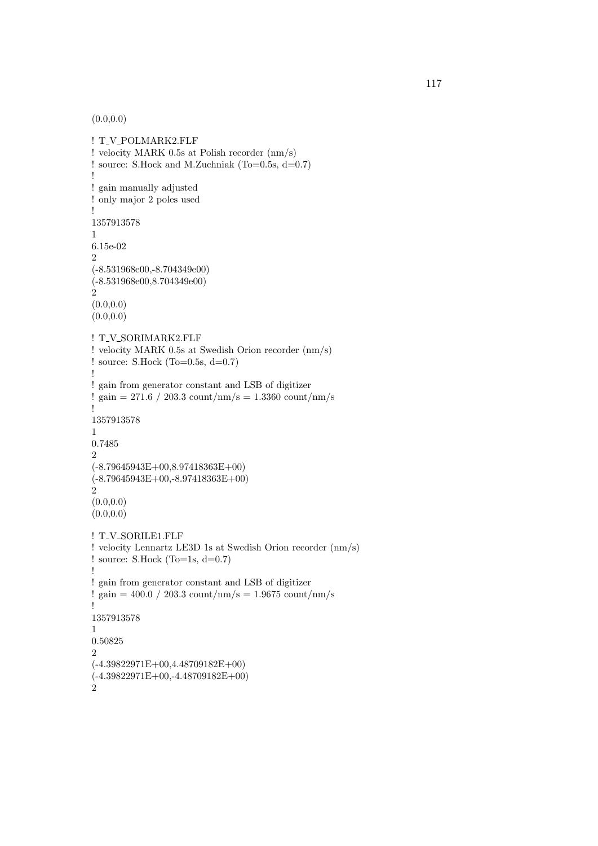$(0.0, 0.0)$ 

```
! T_V_POLMARK2.FLF
! velocity MARK 0.5s at Polish recorder (nm/s)
! source: S.Hock and M.Zuchniak (To=0.5s, d=0.7)
!
! gain manually adjusted
! only major 2 poles used
!
1357913578
1
6.15e-02
2
(-8.531968e00,-8.704349e00)
(-8.531968e00,8.704349e00)
2
(0.0.0.0)(0.0, 0.0)! T_V_SORIMARK2.FLF
! velocity MARK 0.5s at Swedish Orion recorder (nm/s)
! source: S.Hock (To=0.5s, d=0.7)
!
! gain from generator constant and LSB of digitizer
! gain = 271.6 / 203.3 count/nm/s = 1.3360 count/nm/s
!
1357913578
1
0.7485
2
(-8.79645943E+00,8.97418363E+00)
(-8.79645943E+00,-8.97418363E+00)
2
(0.0, 0.0)(0.0, 0.0)! T_V_SORILE1.FLF
! velocity Lennartz LE3D 1s at Swedish Orion recorder (nm/s)
! source: S.Hock (To=1s, d=0.7)
!
! gain from generator constant and LSB of digitizer
! gain = 400.0 / 203.3 count/nm/s = 1.9675 count/nm/s
!
1357913578
1
0.50825
\overline{2}(-4.39822971E+00,4.48709182E+00)
(-4.39822971E+00,-4.48709182E+00)
\dot{2}
```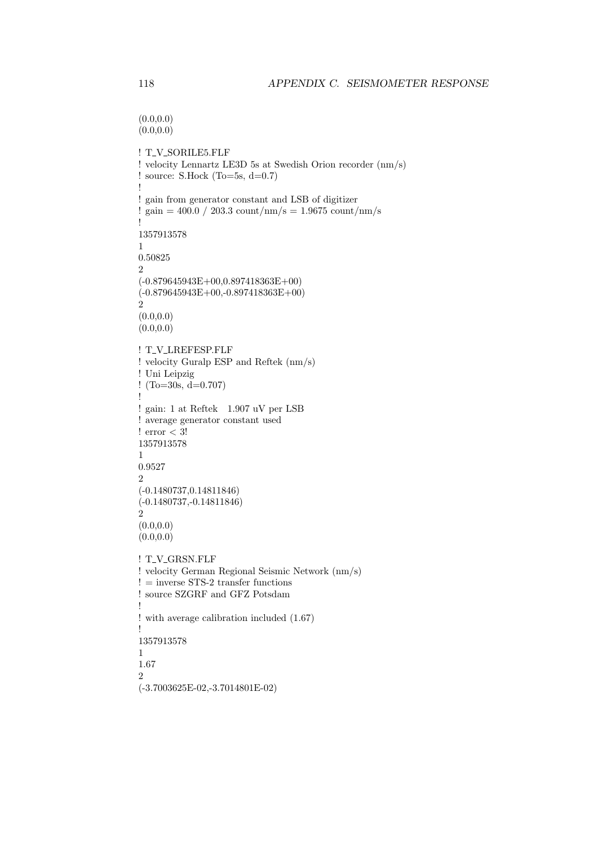```
(0.0, 0.0)(0.0, 0.0)! T_V_SORILE5.FLF
! velocity Lennartz LE3D 5s at Swedish Orion recorder (nm/s)
! source: S.Hock (To=5s, d=0.7)
!
! gain from generator constant and LSB of digitizer
! gain = 400.0 / 203.3 count/nm/s = 1.9675 count/nm/s
!
1357913578
1
0.50825
\overline{2}(-0.879645943E+00,0.897418363E+00)
(-0.879645943E+00,-0.897418363E+00)
\dot{2}(0.0, 0.0)(0.0, 0.0)! T_V_LREFESP.FLF
! velocity Guralp ESP and Reftek (nm/s)
! Uni Leipzig
! (To=30s, d=0.707)
!
! gain: 1 at Reftek 1.907 uV per LSB
! average generator constant used
! error < 3!
1357913578
1
0.9527
2
(-0.1480737,0.14811846)
(-0.1480737,-0.14811846)
2
(0.0, 0.0)(0.0, 0.0)! T_V_GRSN.FLF
! velocity German Regional Seismic Network (nm/s)
!= inverse STS-2 transfer functions \,! source SZGRF and GFZ Potsdam
!
! with average calibration included (1.67)
!
1357913578
1
1.67
2
(-3.7003625E-02,-3.7014801E-02)
```